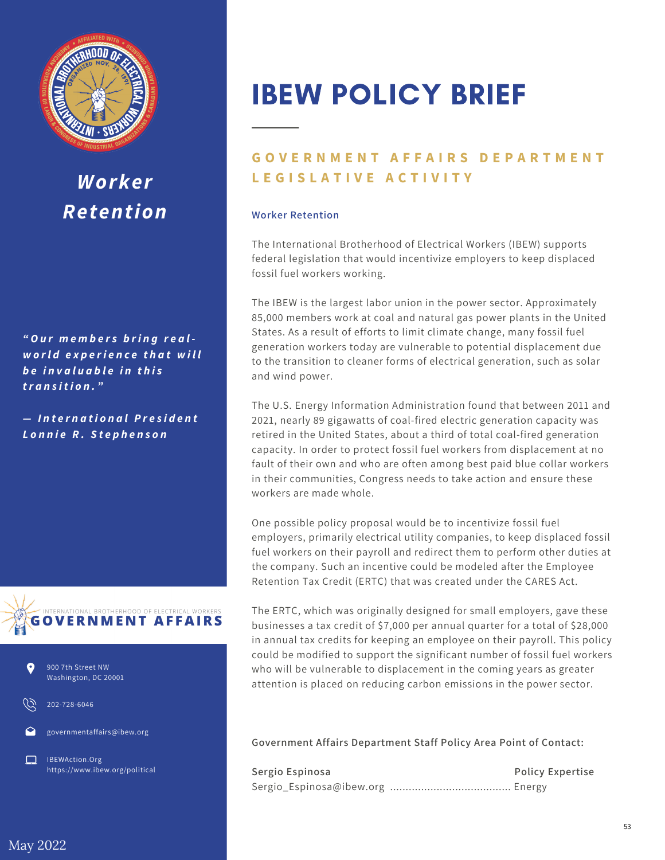

## *Worker Retention*

*" O u r m e m b e r s b ri n g r e a l w o rl d e x p e ri e n c e t h a t w i ll b e i n v a lu a b l e i n t h is tr a n s i t i o n ."*

*— In t e r n a t i o n a lP r e s i d e n t L o n n ie R . S t e p h e n s o n*







202-728-6046

governmentaffairs@ibew.org

IBEWAction.Org https://www.ibew.org/political

## IBEW POLICY BRIEF

## **GOVERNMENT AFFAIRS DEPARTMENT L E G I S L A T I V E A C T I V I T Y**

## **Worker Retention**

The International Brotherhood of Electrical Workers (IBEW) supports federal legislation that would incentivize employers to keep displaced fossil fuel workers working.

The IBEW is the largest labor union in the power sector. Approximately 85,000 members work at coal and natural gas power plants in the United States. As a result of efforts to limit climate change, many fossil fuel generation workers today are vulnerable to potential displacement due to the transition to cleaner forms of electrical generation, such as solar and wind power.

The U.S. Energy Information Administration found that between 2011 and 2021, nearly 89 gigawatts of coal-fired electric generation capacity was retired in the United States, about a third of total coal-fired generation capacity. In order to protect fossil fuel workers from displacement at no fault of their own and who are often among best paid blue collar workers in their communities, Congress needs to take action and ensure these workers are made whole.

One possible policy proposal would be to incentivize fossil fuel employers, primarily electrical utility companies, to keep displaced fossil fuel workers on their payroll and redirect them to perform other duties at the company. Such an incentive could be modeled after the Employee Retention Tax Credit (ERTC) that was created under the CARES Act.

The ERTC, which was originally designed for small employers, gave these businesses a tax credit of \$7,000 per annual quarter for a total of \$28,000 in annual tax credits for keeping an employee on their payroll. This policy could be modified to support the significant number of fossil fuel workers who will be vulnerable to displacement in the coming years as greater attention is placed on reducing carbon emissions in the power sector.

**Government Affairs Department Staff Policy Area Point of Contact:**

**Sergio Espinosa Policy Expertise** [Sergio\\_Espinosa@ibew.org](mailto:Sergio_Espinosa@ibew.org) ....................................... Energy